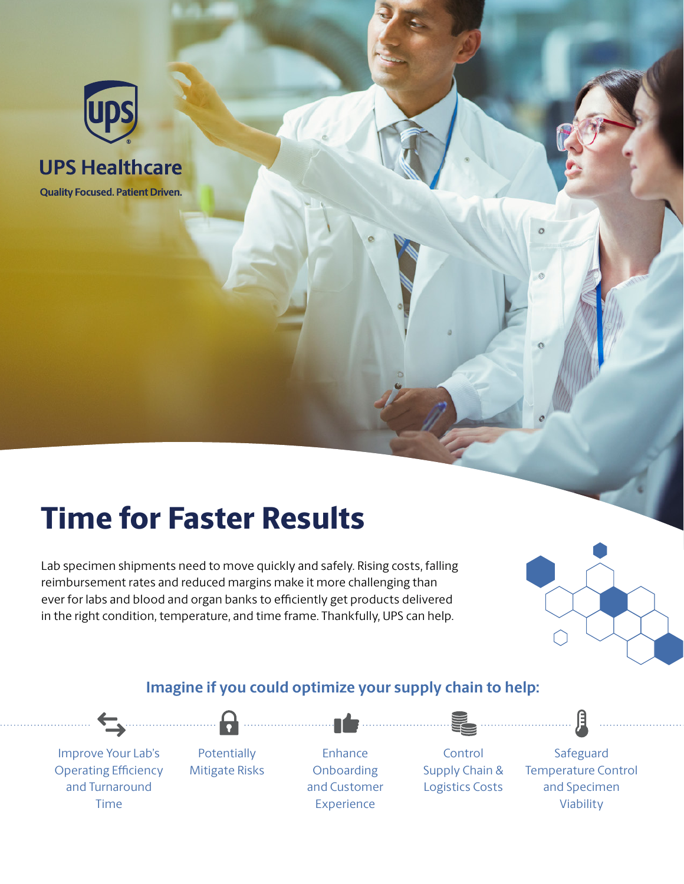

# **UPS Healthcare**

**Quality Focused. Patient Driven.** 

# Time for Faster Results

Lab specimen shipments need to move quickly and safely. Rising costs, falling reimbursement rates and reduced margins make it more challenging than ever for labs and blood and organ banks to efficiently get products delivered in the right condition, temperature, and time frame. Thankfully, UPS can help.



# **Imagine if you could optimize your supply chain to help:**